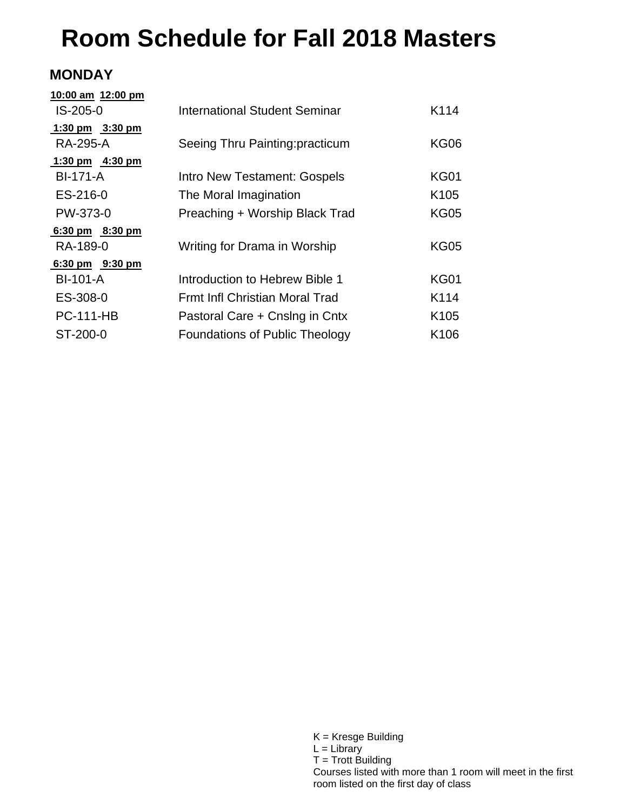# **Room Schedule for Fall 2018 Masters**

### **MONDAY**

| 10:00 am 12:00 pm |                                       |                  |
|-------------------|---------------------------------------|------------------|
| IS-205-0          | <b>International Student Seminar</b>  | K114             |
| 1:30 pm $3:30$ pm |                                       |                  |
| RA-295-A          | Seeing Thru Painting: practicum       | <b>KG06</b>      |
| 1:30 pm 4:30 pm   |                                       |                  |
| <b>BI-171-A</b>   | Intro New Testament: Gospels          | KG01             |
| ES-216-0          | The Moral Imagination                 | K <sub>105</sub> |
| PW-373-0          | Preaching + Worship Black Trad        | <b>KG05</b>      |
| 6:30 pm 8:30 pm   |                                       |                  |
| RA-189-0          | Writing for Drama in Worship          | <b>KG05</b>      |
| 6:30 pm 9:30 pm   |                                       |                  |
| <b>BI-101-A</b>   | Introduction to Hebrew Bible 1        | <b>KG01</b>      |
| ES-308-0          | Frmt Infl Christian Moral Trad        | K <sub>114</sub> |
| <b>PC-111-HB</b>  | Pastoral Care + Cnslng in Cntx        | K <sub>105</sub> |
| ST-200-0          | <b>Foundations of Public Theology</b> | K <sub>106</sub> |
|                   |                                       |                  |

K = Kresge Building  $L =$  Library  $T =$  Trott Building Courses listed with more than 1 room will meet in the first room listed on the first day of class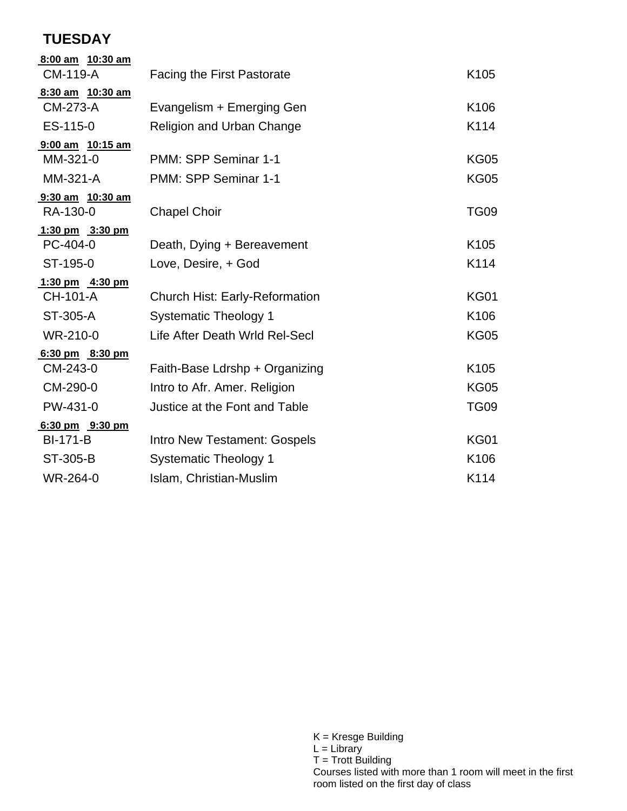## **TUESDAY**

| <b>Facing the First Pastorate</b>     | K <sub>105</sub>                                              |
|---------------------------------------|---------------------------------------------------------------|
|                                       |                                                               |
|                                       | K106                                                          |
|                                       | K114                                                          |
|                                       |                                                               |
| PMM: SPP Seminar 1-1                  | <b>KG05</b>                                                   |
| PMM: SPP Seminar 1-1                  | <b>KG05</b>                                                   |
|                                       |                                                               |
| <b>Chapel Choir</b>                   | TG <sub>09</sub>                                              |
|                                       |                                                               |
| Death, Dying + Bereavement            | K <sub>105</sub>                                              |
| Love, Desire, + God                   | K114                                                          |
|                                       |                                                               |
| <b>Church Hist: Early-Reformation</b> | <b>KG01</b>                                                   |
| <b>Systematic Theology 1</b>          | K106                                                          |
| Life After Death Wrld Rel-Secl        | <b>KG05</b>                                                   |
|                                       |                                                               |
| Faith-Base Ldrshp + Organizing        | K105                                                          |
| Intro to Afr. Amer. Religion          | <b>KG05</b>                                                   |
| Justice at the Font and Table         | <b>TG09</b>                                                   |
|                                       |                                                               |
| Intro New Testament: Gospels          | <b>KG01</b>                                                   |
| <b>Systematic Theology 1</b>          | K106                                                          |
| Islam, Christian-Muslim               | K114                                                          |
|                                       | Evangelism + Emerging Gen<br><b>Religion and Urban Change</b> |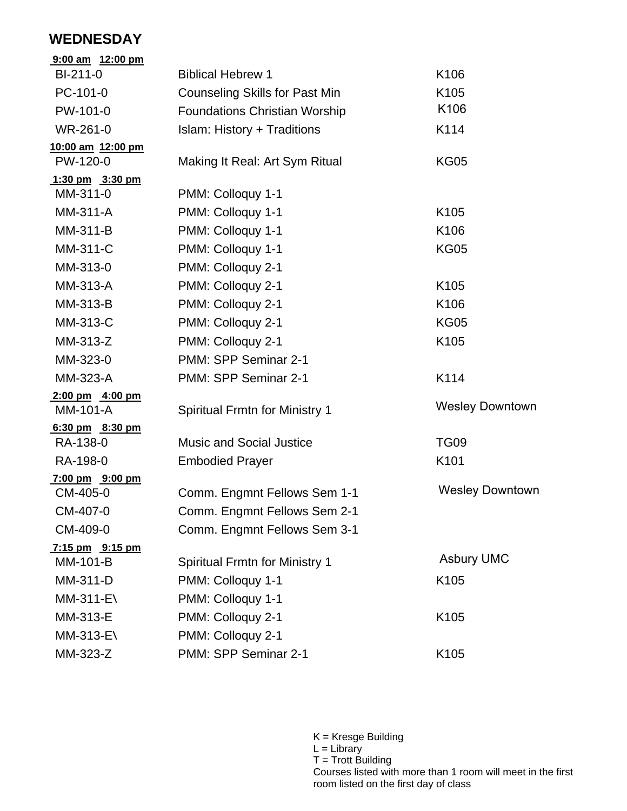### **WEDNESDAY**

| 9:00 am 12:00 pm          |                                       |                        |
|---------------------------|---------------------------------------|------------------------|
| BI-211-0                  | <b>Biblical Hebrew 1</b>              | K106                   |
| PC-101-0                  | <b>Counseling Skills for Past Min</b> | K105                   |
| PW-101-0                  | <b>Foundations Christian Worship</b>  | K106                   |
| WR-261-0                  | <b>Islam: History + Traditions</b>    | K114                   |
| 10:00 am 12:00 pm         |                                       |                        |
| PW-120-0                  | Making It Real: Art Sym Ritual        | <b>KG05</b>            |
| 1:30 pm 3:30 pm           |                                       |                        |
| MM-311-0                  | PMM: Colloquy 1-1                     |                        |
| MM-311-A                  | PMM: Colloquy 1-1                     | K <sub>105</sub>       |
| MM-311-B                  | PMM: Colloquy 1-1                     | K106                   |
| MM-311-C                  | PMM: Colloquy 1-1                     | <b>KG05</b>            |
| MM-313-0                  | PMM: Colloquy 2-1                     |                        |
| MM-313-A                  | PMM: Colloquy 2-1                     | K <sub>105</sub>       |
| MM-313-B                  | PMM: Colloquy 2-1                     | K106                   |
| MM-313-C                  | PMM: Colloquy 2-1                     | <b>KG05</b>            |
| MM-313-Z                  | PMM: Colloquy 2-1                     | K <sub>105</sub>       |
| MM-323-0                  | PMM: SPP Seminar 2-1                  |                        |
| MM-323-A                  | PMM: SPP Seminar 2-1                  | K114                   |
| $2:00 \text{ pm}$ 4:00 pm |                                       |                        |
| MM-101-A                  | <b>Spiritual Frmtn for Ministry 1</b> | <b>Wesley Downtown</b> |
| 6:30 pm 8:30 pm           |                                       |                        |
| RA-138-0                  | <b>Music and Social Justice</b>       | <b>TG09</b>            |
| RA-198-0                  | <b>Embodied Prayer</b>                | K101                   |
| 7:00 pm 9:00 pm           |                                       | <b>Wesley Downtown</b> |
| CM-405-0                  | Comm. Engmnt Fellows Sem 1-1          |                        |
| CM-407-0                  | Comm. Engmnt Fellows Sem 2-1          |                        |
| CM-409-0                  | Comm. Engmnt Fellows Sem 3-1          |                        |
| 7:15 pm 9:15 pm           |                                       | <b>Asbury UMC</b>      |
| MM-101-B                  | <b>Spiritual Frmtn for Ministry 1</b> |                        |
| MM-311-D                  | PMM: Colloquy 1-1                     | K <sub>105</sub>       |
| MM-311-E\                 | PMM: Colloquy 1-1                     |                        |
| MM-313-E                  | PMM: Colloquy 2-1                     | K <sub>105</sub>       |
| MM-313-E\                 | PMM: Colloquy 2-1                     |                        |
| MM-323-Z                  | PMM: SPP Seminar 2-1                  | K105                   |

K = Kresge Building L = Library T = Trott Building Courses listed with more than 1 room will meet in the first room listed on the first day of class